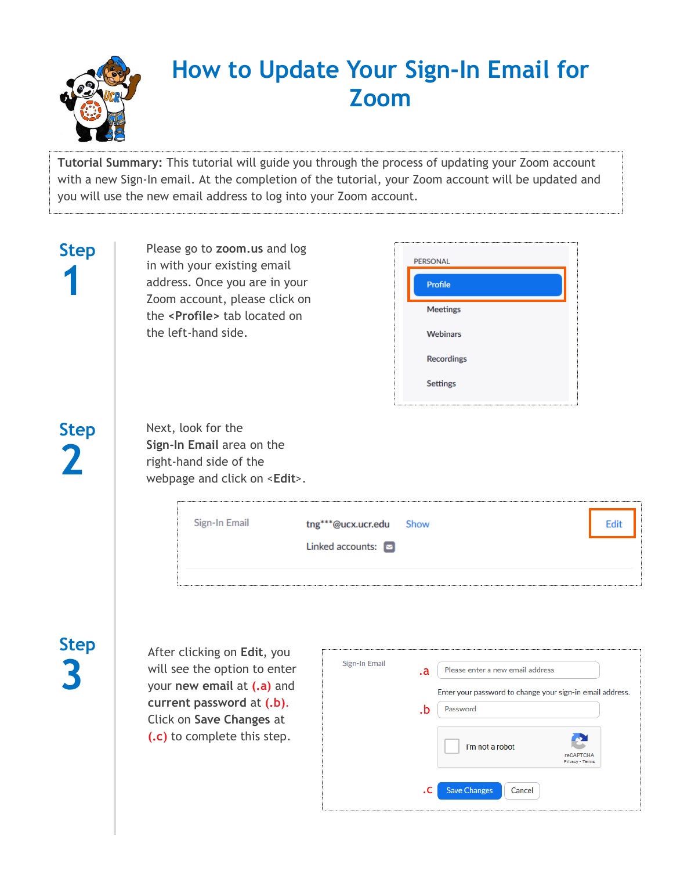

## **How to Update Your Sign-In Email for Zoom**

**Tutorial Summary:** This tutorial will guide you through the process of updating your Zoom account with a new Sign-In email. At the completion of the tutorial, your Zoom account will be updated and you will use the new email address to log into your Zoom account.

| <b>Step</b> | Please go to zoom.us and log<br><b>PERSONAL</b><br>in with your existing email<br>address. Once you are in your<br><b>Profile</b><br>Zoom account, please click on<br><b>Meetings</b><br>the <profile> tab located on<br/>the left-hand side.<br/><b>Webinars</b><br/><b>Recordings</b><br/>Settings</profile>                                                                       |
|-------------|--------------------------------------------------------------------------------------------------------------------------------------------------------------------------------------------------------------------------------------------------------------------------------------------------------------------------------------------------------------------------------------|
| <b>Step</b> | Next, look for the<br>Sign-In Email area on the<br>right-hand side of the<br>webpage and click on <edit>.<br/>Sign-In Email<br/>tng***@ucx.ucr.edu<br/>Edit<br/>Show<br/>Linked accounts:</edit>                                                                                                                                                                                     |
| <b>Step</b> | After clicking on Edit, you<br>Sign-In Email<br>will see the option to enter<br>Please enter a new email address<br>.a<br>your new email at (.a) and<br>Enter your password to change your sign-in email address.<br>current password at (.b).<br>Password<br>.b<br>Click on Save Changes at<br>(.c) to complete this step.<br>I'm not a robot<br><b>reCAPTCHA</b><br>Privacy - Term |

.c

Save Changes

Cancel